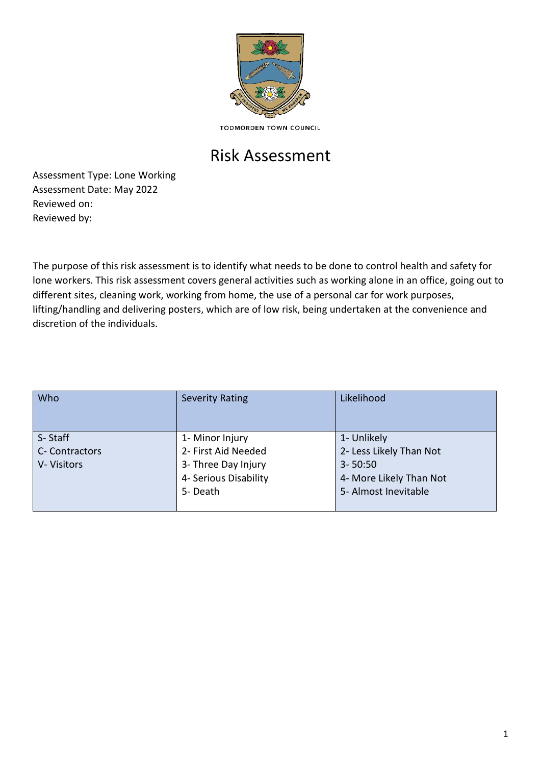

**TODMORDEN TOWN COUNCIL** 

## Risk Assessment

Assessment Type: Lone Working Assessment Date: May 2022 Reviewed on: Reviewed by:

The purpose of this risk assessment is to identify what needs to be done to control health and safety for lone workers. This risk assessment covers general activities such as working alone in an office, going out to different sites, cleaning work, working from home, the use of a personal car for work purposes, lifting/handling and delivering posters, which are of low risk, being undertaken at the convenience and discretion of the individuals.

| Who                                     | <b>Severity Rating</b>                                                                             | Likelihood                                                                                               |
|-----------------------------------------|----------------------------------------------------------------------------------------------------|----------------------------------------------------------------------------------------------------------|
| S-Staff<br>C- Contractors<br>V-Visitors | 1- Minor Injury<br>2- First Aid Needed<br>3- Three Day Injury<br>4- Serious Disability<br>5- Death | 1- Unlikely<br>2- Less Likely Than Not<br>$3 - 50:50$<br>4- More Likely Than Not<br>5- Almost Inevitable |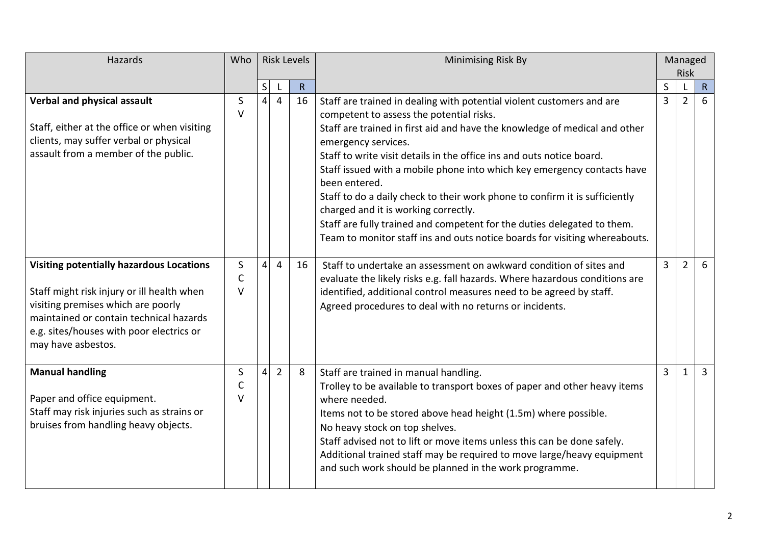| Hazards                                                                                                                                                                                                                                          | Who                         | <b>Risk Levels</b> |                |    | Minimising Risk By                                                                                                                                                                                                                                                                                                                                                                                                                                                                                                                                                                                                                                                          |                | Managed<br><b>Risk</b> |                |
|--------------------------------------------------------------------------------------------------------------------------------------------------------------------------------------------------------------------------------------------------|-----------------------------|--------------------|----------------|----|-----------------------------------------------------------------------------------------------------------------------------------------------------------------------------------------------------------------------------------------------------------------------------------------------------------------------------------------------------------------------------------------------------------------------------------------------------------------------------------------------------------------------------------------------------------------------------------------------------------------------------------------------------------------------------|----------------|------------------------|----------------|
|                                                                                                                                                                                                                                                  |                             | S                  |                | R  |                                                                                                                                                                                                                                                                                                                                                                                                                                                                                                                                                                                                                                                                             | $\mathsf{S}$   |                        | R              |
| Verbal and physical assault<br>Staff, either at the office or when visiting<br>clients, may suffer verbal or physical<br>assault from a member of the public.                                                                                    | S<br>$\vee$                 | $\vert$            | $\overline{4}$ | 16 | Staff are trained in dealing with potential violent customers and are<br>competent to assess the potential risks.<br>Staff are trained in first aid and have the knowledge of medical and other<br>emergency services.<br>Staff to write visit details in the office ins and outs notice board.<br>Staff issued with a mobile phone into which key emergency contacts have<br>been entered.<br>Staff to do a daily check to their work phone to confirm it is sufficiently<br>charged and it is working correctly.<br>Staff are fully trained and competent for the duties delegated to them.<br>Team to monitor staff ins and outs notice boards for visiting whereabouts. | 3              | 2                      | 6              |
| <b>Visiting potentially hazardous Locations</b><br>Staff might risk injury or ill health when<br>visiting premises which are poorly<br>maintained or contain technical hazards<br>e.g. sites/houses with poor electrics or<br>may have asbestos. | S<br>$\mathsf{C}$<br>$\vee$ | $\vert 4 \vert$    | 4              | 16 | Staff to undertake an assessment on awkward condition of sites and<br>evaluate the likely risks e.g. fall hazards. Where hazardous conditions are<br>identified, additional control measures need to be agreed by staff.<br>Agreed procedures to deal with no returns or incidents.                                                                                                                                                                                                                                                                                                                                                                                         | $\overline{3}$ | $\overline{2}$         | 6              |
| <b>Manual handling</b><br>Paper and office equipment.<br>Staff may risk injuries such as strains or<br>bruises from handling heavy objects.                                                                                                      | S<br>C<br>$\vee$            | $\vert$            | $\overline{2}$ | 8  | Staff are trained in manual handling.<br>Trolley to be available to transport boxes of paper and other heavy items<br>where needed.<br>Items not to be stored above head height (1.5m) where possible.<br>No heavy stock on top shelves.<br>Staff advised not to lift or move items unless this can be done safely.<br>Additional trained staff may be required to move large/heavy equipment<br>and such work should be planned in the work programme.                                                                                                                                                                                                                     | 3              | $\mathbf{1}$           | $\overline{3}$ |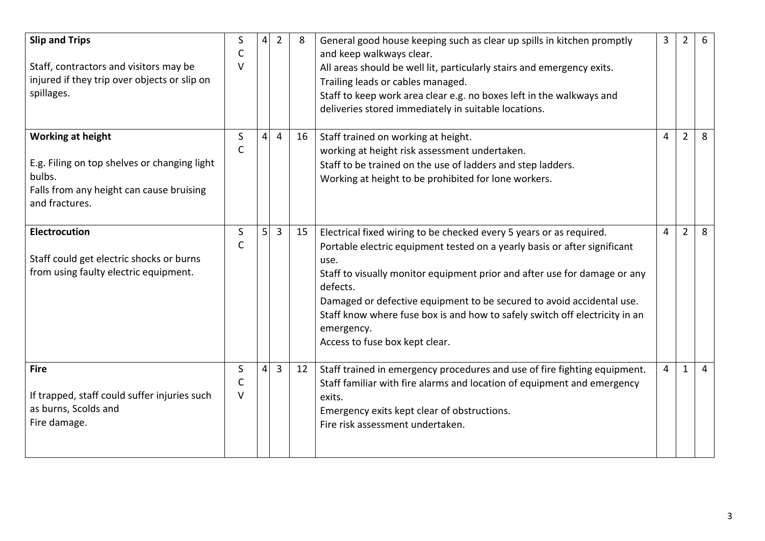| <b>Slip and Trips</b><br>Staff, contractors and visitors may be<br>injured if they trip over objects or slip on<br>spillages.                    | S<br>C<br>$\vee$  | 4              | $\overline{2}$ | 8  | General good house keeping such as clear up spills in kitchen promptly<br>and keep walkways clear.<br>All areas should be well lit, particularly stairs and emergency exits.<br>Trailing leads or cables managed.<br>Staff to keep work area clear e.g. no boxes left in the walkways and<br>deliveries stored immediately in suitable locations.                                                                                                         | 3 | $\overline{2}$ | 6              |
|--------------------------------------------------------------------------------------------------------------------------------------------------|-------------------|----------------|----------------|----|-----------------------------------------------------------------------------------------------------------------------------------------------------------------------------------------------------------------------------------------------------------------------------------------------------------------------------------------------------------------------------------------------------------------------------------------------------------|---|----------------|----------------|
| <b>Working at height</b><br>E.g. Filing on top shelves or changing light<br>bulbs.<br>Falls from any height can cause bruising<br>and fractures. | S<br>$\mathsf{C}$ | 4              | 4              | 16 | Staff trained on working at height.<br>working at height risk assessment undertaken.<br>Staff to be trained on the use of ladders and step ladders.<br>Working at height to be prohibited for lone workers.                                                                                                                                                                                                                                               | 4 | $\overline{2}$ | 8              |
| <b>Electrocution</b><br>Staff could get electric shocks or burns<br>from using faulty electric equipment.                                        | S<br>C            | 5 <sup>1</sup> | 3              | 15 | Electrical fixed wiring to be checked every 5 years or as required.<br>Portable electric equipment tested on a yearly basis or after significant<br>use.<br>Staff to visually monitor equipment prior and after use for damage or any<br>defects.<br>Damaged or defective equipment to be secured to avoid accidental use.<br>Staff know where fuse box is and how to safely switch off electricity in an<br>emergency.<br>Access to fuse box kept clear. | 4 | $\overline{2}$ | 8              |
| <b>Fire</b><br>If trapped, staff could suffer injuries such<br>as burns, Scolds and<br>Fire damage.                                              | S<br>C<br>$\vee$  | 4              | 3              | 12 | Staff trained in emergency procedures and use of fire fighting equipment.<br>Staff familiar with fire alarms and location of equipment and emergency<br>exits.<br>Emergency exits kept clear of obstructions.<br>Fire risk assessment undertaken.                                                                                                                                                                                                         | 4 | 1              | $\overline{4}$ |